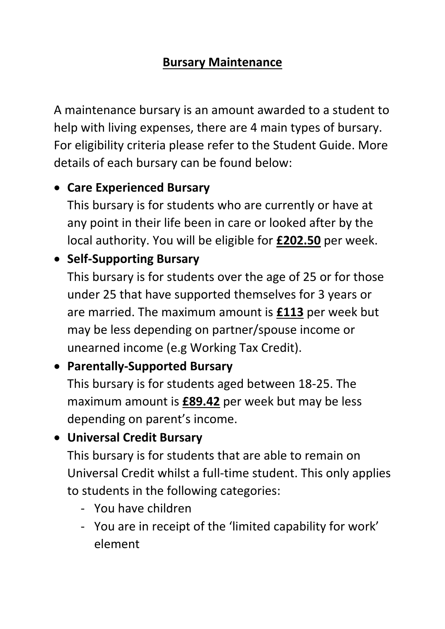### **Bursary Maintenance**

A maintenance bursary is an amount awarded to a student to help with living expenses, there are 4 main types of bursary. For eligibility criteria please refer to the Student Guide. More details of each bursary can be found below:

### • **Care Experienced Bursary**

This bursary is for students who are currently or have at any point in their life been in care or looked after by the local authority. You will be eligible for **£202.50** per week.

# • **Self-Supporting Bursary**

This bursary is for students over the age of 25 or for those under 25 that have supported themselves for 3 years or are married. The maximum amount is **£113** per week but may be less depending on partner/spouse income or unearned income (e.g Working Tax Credit).

### • **Parentally-Supported Bursary**

This bursary is for students aged between 18-25. The maximum amount is **£89.42** per week but may be less depending on parent's income.

## • **Universal Credit Bursary**

This bursary is for students that are able to remain on Universal Credit whilst a full-time student. This only applies to students in the following categories:

- You have children
- You are in receipt of the 'limited capability for work' element